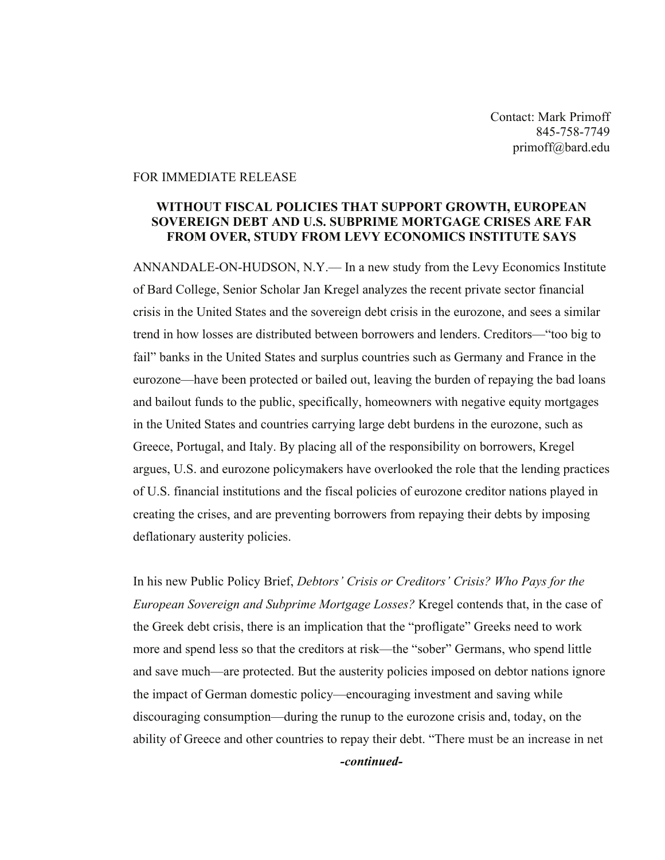Contact: Mark Primoff 845-758-7749 primoff@bard.edu

## FOR IMMEDIATE RELEASE

## **WITHOUT FISCAL POLICIES THAT SUPPORT GROWTH, EUROPEAN SOVEREIGN DEBT AND U.S. SUBPRIME MORTGAGE CRISES ARE FAR FROM OVER, STUDY FROM LEVY ECONOMICS INSTITUTE SAYS**

ANNANDALE-ON-HUDSON, N.Y.— In a new study from the Levy Economics Institute of Bard College, Senior Scholar Jan Kregel analyzes the recent private sector financial crisis in the United States and the sovereign debt crisis in the eurozone, and sees a similar trend in how losses are distributed between borrowers and lenders. Creditors—"too big to fail" banks in the United States and surplus countries such as Germany and France in the eurozone—have been protected or bailed out, leaving the burden of repaying the bad loans and bailout funds to the public, specifically, homeowners with negative equity mortgages in the United States and countries carrying large debt burdens in the eurozone, such as Greece, Portugal, and Italy. By placing all of the responsibility on borrowers, Kregel argues, U.S. and eurozone policymakers have overlooked the role that the lending practices of U.S. financial institutions and the fiscal policies of eurozone creditor nations played in creating the crises, and are preventing borrowers from repaying their debts by imposing deflationary austerity policies.

In his new Public Policy Brief, *Debtors' Crisis or Creditors' Crisis? Who Pays for the European Sovereign and Subprime Mortgage Losses?* Kregel contends that, in the case of the Greek debt crisis, there is an implication that the "profligate" Greeks need to work more and spend less so that the creditors at risk—the "sober" Germans, who spend little and save much—are protected. But the austerity policies imposed on debtor nations ignore the impact of German domestic policy—encouraging investment and saving while discouraging consumption—during the runup to the eurozone crisis and, today, on the ability of Greece and other countries to repay their debt. "There must be an increase in net *-continued-*